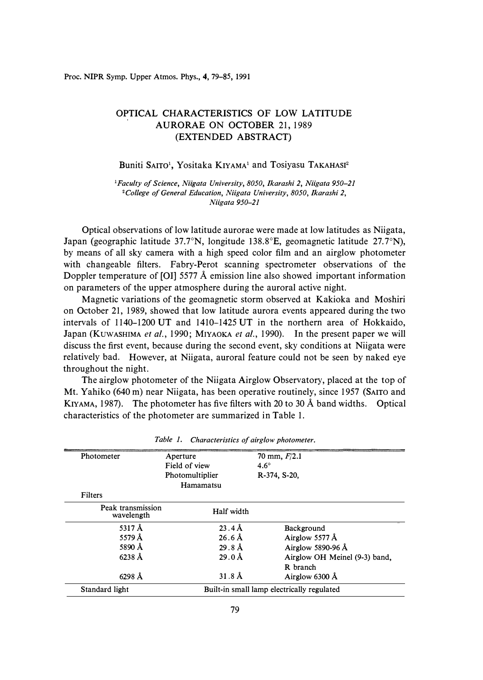## OPTICAL CHARACTERISTICS OF LOW LATITUDE AURORAE ON OCTOBER 21, 1989 (EXTENDED ABSTRACT)

Buniti SAITO<sup>1</sup>, Yositaka KIYAMA<sup>1</sup> and Tosiyasu TAKAHASI<sup>2</sup>

*<sup>1</sup>Faculty of Science, Niigata University, 8050, Ikarashi 2, Niigata 950-21 <sup>2</sup>College of General Education, Niigata University, 8050, Ikarashi 2, Niigata 950-21* 

Optical observations of low latitude aurorae were made at low latitudes as Niigata, Japan (geographic latitude 37.7°N, longitude 138.8°E, geomagnetic latitude 27.7°N), by means of all sky camera with a high speed color film and an airglow photometer with changeable filters. Fabry-Perot scanning spectrometer observations of the Doppler temperature of (01] 5577 A emission line also showed important information on parameters of the upper atmosphere during the auroral active night.

Magnetic variations of the geomagnetic storm observed at Kakioka and Moshiri on October 21, 1989, showed that low latitude aurora events appeared during the two intervals of 1140-1200 UT and 1410-1425 UT in the northern area of Hokkaido, Japan (KuwASHIMA *et al.,* 1990; MIYAOKA *et al.,* 1990). In the present paper we will discuss the first event, because during the second event, sky conditions at Niigata were relatively bad. However, at Niigata, auroral feature could not be seen by naked eye throughout the night.

The airglow photometer of the Niigata Airglow Observatory, placed at the top of Mt. Yahiko (640 m) near Niigata, has been operative routinely, since 1957 (SAITO and KIYAMA, 1987). The photometer has five filters with 20 to 30 A band widths. Optical characteristics of the photometer are summarized in Table 1.

| Photometer                      | Aperture           | 70 mm, $F/2.1$                             |  |
|---------------------------------|--------------------|--------------------------------------------|--|
|                                 | Field of view      | $4.6^\circ$                                |  |
|                                 | Photomultiplier    | R-374, S-20,                               |  |
|                                 | Hamamatsu          |                                            |  |
| <b>Filters</b>                  |                    |                                            |  |
| Peak transmission<br>wavelength | Half width         |                                            |  |
| 5317 $\AA$                      | $23.4\text{ Å}$    | Background                                 |  |
| 5579 $\AA$                      | $26.6 \text{ Å}$   | Airglow 5577 $\AA$                         |  |
| 5890 Å                          | 29.8 <sup>8</sup>  | Airglow 5890-96 $\AA$                      |  |
| $6238 \text{ Å}$                | $29.0\,\text{\AA}$ | Airglow OH Meinel (9-3) band,              |  |
|                                 |                    | R branch                                   |  |
| $6298 \text{ Å}$                | $31.8 \text{ Å}$   | Airglow 6300 Å                             |  |
| Standard light                  |                    | Built-in small lamp electrically regulated |  |

*Table 1. Characteristics of airglow photometer.*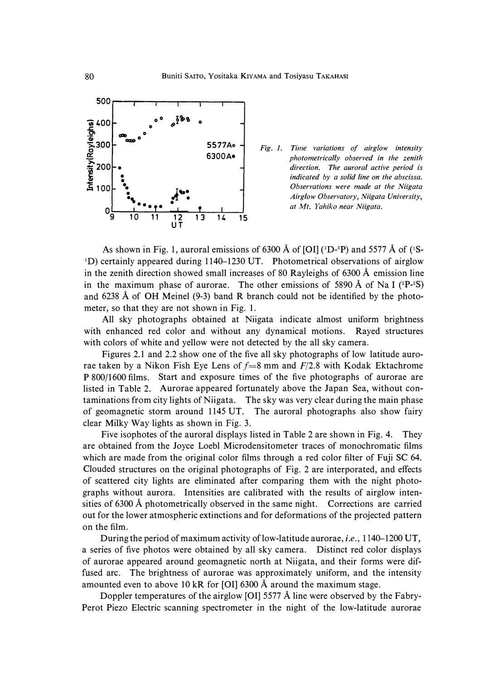

**5577Ao** *Fig. 1. Time variations of airglow intensity* **6300A**  $\mu$ *photometrically observed in the zenith* direction. The auroral active period is indicated by a solid line on the abscissa. • **.S 100** • *Observations were made at the Niigata Airglow Observatory, Niigata University,*<br>*at Mt. Yahiko near Niigata.*<br>14 15

As shown in Fig. 1, auroral emissions of 6300 Å of [OI] (<sup>1</sup>D-<sup>3</sup>P) and 5577 Å of (<sup>1</sup>S-1D) certainly appeared during 1140-1230 UT. Photometrical observations of airglow in the zenith direction showed small increases of 80 Rayleighs of 6300 A emission line in the maximum phase of aurorae. The other emissions of 5890  $\AA$  of Na I ( ${}^{2}P-{}^{2}S$ ) and 6238  $\AA$  of OH Meinel (9-3) band R branch could not be identified by the photometer, so that they are not shown in Fig. 1.

All sky photographs obtained at Niigata indicate almost uniform brightness with enhanced red color and without any dynamical motions. Rayed structures with colors of white and yellow were not detected by the all sky camera.

Figures 2.1 and 2.2 show one of the five all sky photographs of low latitude aurorae taken by a Nikon Fish Eye Lens of  $f = 8$  mm and  $F/2.8$  with Kodak Ektachrome P 800/1600 films. Start and exposure times of the five photographs of aurorae are listed in Table 2. Aurorae appeared fortunately above the Japan Sea, without contaminations from city lights of Niigata. The sky was very clear during the main phase of geomagnetic storm around 1145 UT. The auroral photographs also show fairy clear Milky Way lights as shown in Fig. 3.

Five isophotes of the auroral displays listed in Table 2 are shown in Fig. 4. They are obtained from the Joyce Loebl Microdensitometer traces of monochromatic films which are made from the original color films through a red color filter of Fuji SC 64. Clouded structures on the original photographs of Fig. 2 are interporated, and effects of scattered city lights are eliminated after comparing them with the night photographs without aurora. Intensities are calibrated with the results of airglow intensities of 6300 A photometrically observed in the same night. Corrections are carried out for the lower atmospheric extinctions and for deformations of the projected pattern on the film.

During the period of maximum activity of low-latitude aurorae, *i.e.,* 1140-1200 UT, a series of five photos were obtained by all sky camera. Distinct red color displays of aurorae appeared around geomagnetic north at Niigata, and their forms were diffused arc. The brightness of aurorae was approximately uniform, and the intensity amounted even to above 10 kR for [01] 6300 A around the maximum stage.

Doppler temperatures of the airglow [OI] 5577 Å line were observed by the Fabry-Perot Piezo Electric scanning spectrometer in the night of the low-latitude aurorae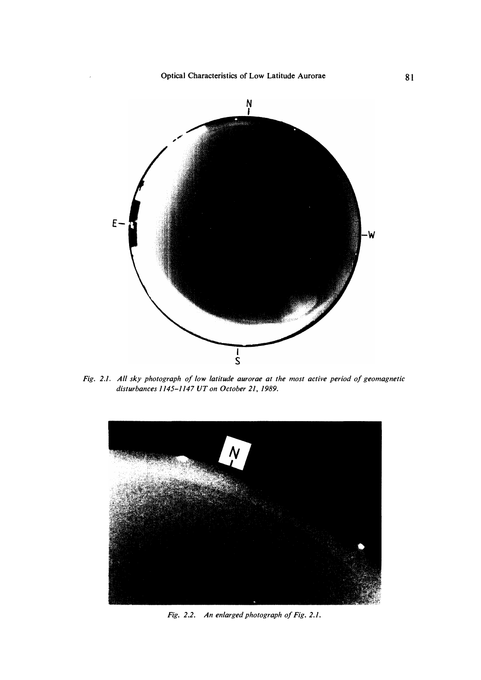

*Fig. 2.1. All sky photograph of low latitude aurorae at the most active period of geomagnetic disturbances 1145-1147 UT on October 21, 1989.* 



*Fig. 2.2. An enlarged photograph of Fig. 2.1.*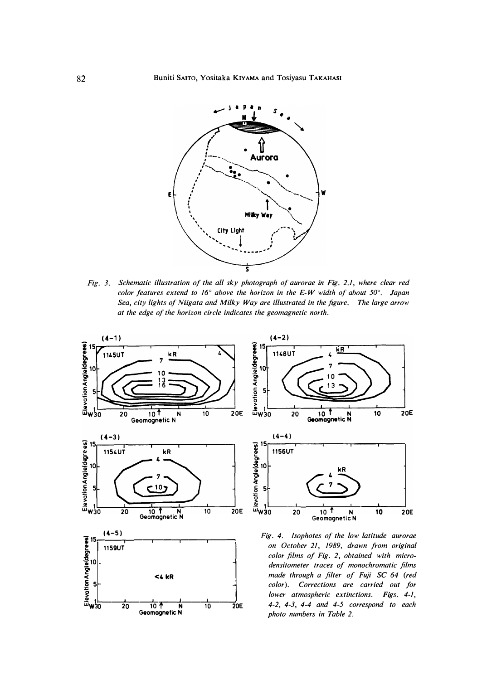

*Fig. 3. Schematic illustration of the all sky photograph of aurorae in Fig. 2.1, where clear red color features extend to 16° above the horizon in the E-W width of about 50° . Japan Sea, city lights of Niigata and Milky Way are illustrated in the figure. The large arrow at the edge of the horizon circle indicates the geomagnetic north.* 

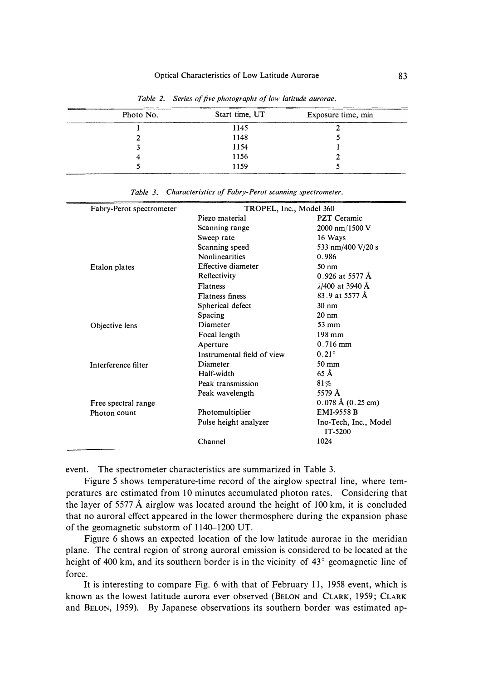| Photo No. | Start time, UT | Exposure time, min |
|-----------|----------------|--------------------|
|           | 1145           |                    |
|           | 1148           |                    |
|           | 1154           |                    |
|           | 1156           |                    |
|           | 1159           |                    |

*Table 2. Series of five photographs of low latitude aurorae.* 

| Fabry-Perot spectrometer | TROPEL, Inc., Model 360    |                                     |  |
|--------------------------|----------------------------|-------------------------------------|--|
|                          | Piezo material             | PZT Ceramic                         |  |
|                          | Scanning range             | 2000 nm/1500 V                      |  |
|                          | Sweep rate                 | 16 Ways                             |  |
|                          | Scanning speed             | 533 nm/400 V/20 s                   |  |
|                          | <b>Nonlinearities</b>      | 0.986                               |  |
| Etalon plates            | Effective diameter         | $50 \text{ nm}$                     |  |
|                          | Reflectivity               | $0.926$ at 5577 Å                   |  |
|                          | <b>Flatness</b>            | $\lambda$ /400 at 3940 Å            |  |
|                          | <b>Flatness finess</b>     | 83.9 at 5577 Å                      |  |
|                          | Spherical defect           | $30 \text{ nm}$                     |  |
|                          | Spacing                    | $20 \text{ nm}$                     |  |
| Objective lens           | Diameter                   | 53 mm                               |  |
|                          | Focal length               | $198 \text{ mm}$                    |  |
|                          | Aperture                   | $0.716$ mm                          |  |
|                          | Instrumental field of view | $0.21^\circ$                        |  |
| Interference filter      | Diameter                   | $50 \text{ mm}$                     |  |
|                          | Half-width                 | $65 \text{ Å}$                      |  |
|                          | Peak transmission          | 81%                                 |  |
|                          | Peak wavelength            | 5579 Å                              |  |
| Free spectral range      |                            | $0.078 \text{ Å} (0.25 \text{ cm})$ |  |
| Photon count             | Photomultiplier            | <b>EMI-9558 B</b>                   |  |
|                          | Pulse height analyzer      | Ino-Tech, Inc., Model<br>IT-5200    |  |
|                          | Channel                    | 1024                                |  |

*Table 3. Characteristics of Fabry-Perot scanning spectrometer.* 

event. The spectrometer characteristics are summarized in Table 3.

Figure 5 shows temperature-time record of the airglow spectral line, where temperatures are estimated from 10 minutes accumulated photon rates. Considering that the layer of 5577 Å airglow was located around the height of  $100 \text{ km}$ , it is concluded that no auroral effect appeared in the lower thermosphere during the expansion phase of the geomagnetic substorm of 1140-1200 UT.

Figure 6 shows an expected location of the low latitude aurorae in the meridian plane. The central region of strong auroral emission is considered to be located at the height of 400 km, and its southern border is in the vicinity of 43*°* geomagnetic line of force.

It is interesting to compare Fig. 6 with that of February 11, 1958 event, which is known as the lowest latitude aurora ever observed (BELON and CLARK, 1959; CLARK and BELON, 1959). By Japanese observations its southern border was estimated ap-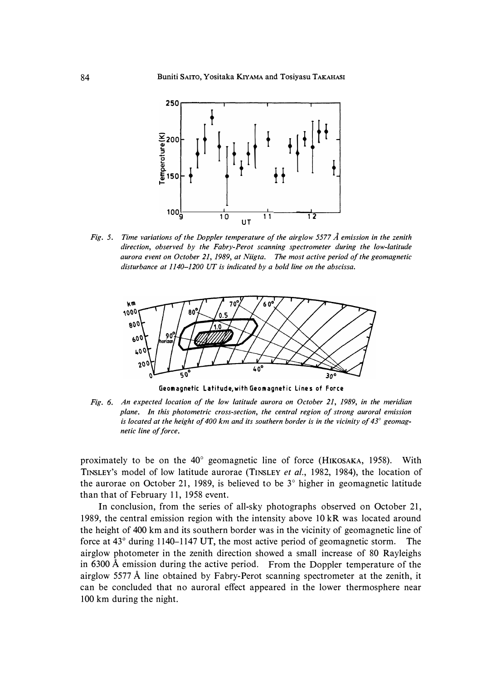

*Fig. 5. Time variations of the Doppler temperature of the airg!ow 5577 A emission in the zenith direction, observed by the Fabry-Perot scanning spectrometer during the low-latitude aurora event on October 21, 1989, at Niigta. The most active period of the geomagnetic disturbance at 1140-1200 UT is indicated by a bold line on the abscissa.* 



**Geomagnetic Latitude,with Geomagnetic Lines of Force** 

*Fig. 6. An expected location of the low latitude aurora on October 21, 1989, in the meridian plane. In this photometric cross-section, the central region of strong auroral emission is located at the height of 400 km and its southern border is in the vicinity of 43° geomagnetic line of force.* 

proximately to be on the 40*°* geomagnetic line of force (HIKOSAKA, 1958). With TINSLEY's model of low latitude aurorae (TINSLEY *et al.,* 1982, 1984), the location of the aurorae on October 21, 1989, is believed to be 3 *°* higher in geomagnetic latitude than that of February 11, 1958 event.

In conclusion, from the series of all-sky photographs observed on October 21, 1989, the central emission region with the intensity above 10 kR was located around the height of 400 km and its southern border was in the vicinity of geomagnetic line of force at 43*°* during 1140-1147 UT, the most active period of geomagnetic storm. The airglow photometer in the zenith direction showed a small increase of 80 Rayleighs in 6300 A emission during the active period. From the Doppler temperature of the airglow 5577 A line obtained by Fabry-Perot scanning spectrometer at the zenith, it can be concluded that no auroral effect appeared in the lower thermosphere near 100 km during the night.